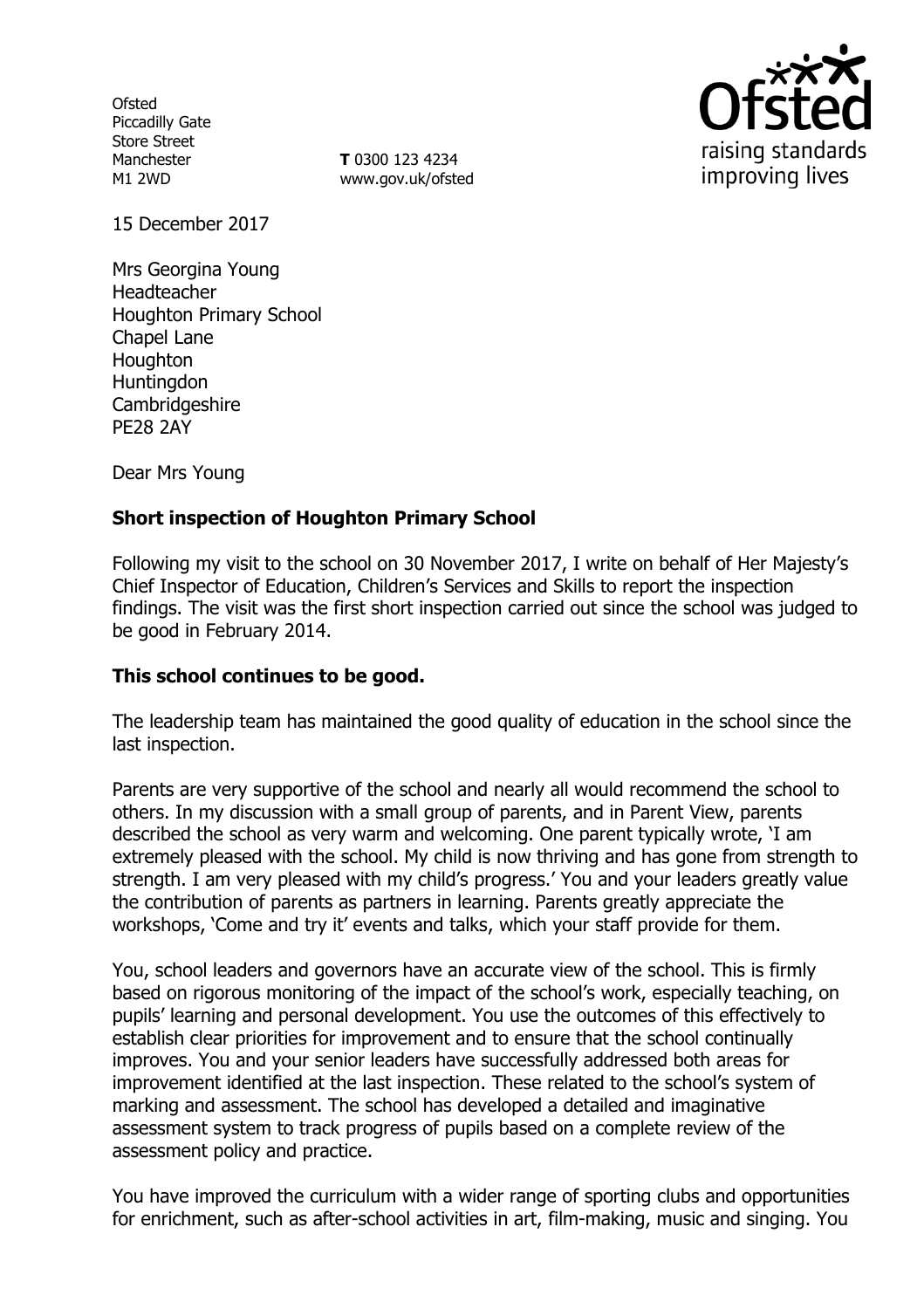**Ofsted** Piccadilly Gate Store Street Manchester M1 2WD

**T** 0300 123 4234 www.gov.uk/ofsted



15 December 2017

Mrs Georgina Young Headteacher Houghton Primary School Chapel Lane **Houghton** Huntingdon **Cambridgeshire** PE28 2AY

Dear Mrs Young

## **Short inspection of Houghton Primary School**

Following my visit to the school on 30 November 2017, I write on behalf of Her Majesty's Chief Inspector of Education, Children's Services and Skills to report the inspection findings. The visit was the first short inspection carried out since the school was judged to be good in February 2014.

## **This school continues to be good.**

The leadership team has maintained the good quality of education in the school since the last inspection.

Parents are very supportive of the school and nearly all would recommend the school to others. In my discussion with a small group of parents, and in Parent View, parents described the school as very warm and welcoming. One parent typically wrote, 'I am extremely pleased with the school. My child is now thriving and has gone from strength to strength. I am very pleased with my child's progress.' You and your leaders greatly value the contribution of parents as partners in learning. Parents greatly appreciate the workshops, 'Come and try it' events and talks, which your staff provide for them.

You, school leaders and governors have an accurate view of the school. This is firmly based on rigorous monitoring of the impact of the school's work, especially teaching, on pupils' learning and personal development. You use the outcomes of this effectively to establish clear priorities for improvement and to ensure that the school continually improves. You and your senior leaders have successfully addressed both areas for improvement identified at the last inspection. These related to the school's system of marking and assessment. The school has developed a detailed and imaginative assessment system to track progress of pupils based on a complete review of the assessment policy and practice.

You have improved the curriculum with a wider range of sporting clubs and opportunities for enrichment, such as after-school activities in art, film-making, music and singing. You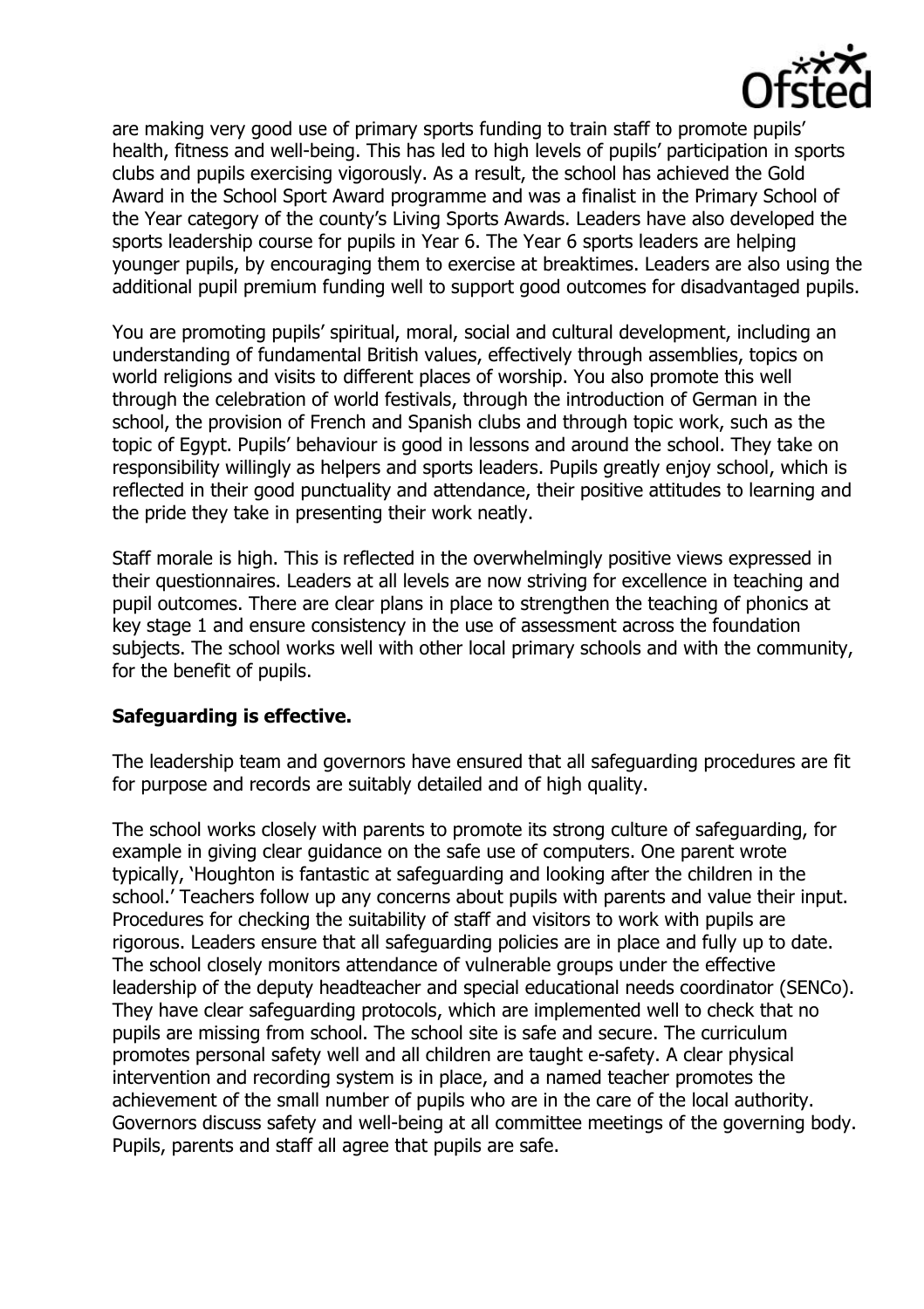

are making very good use of primary sports funding to train staff to promote pupils' health, fitness and well-being. This has led to high levels of pupils' participation in sports clubs and pupils exercising vigorously. As a result, the school has achieved the Gold Award in the School Sport Award programme and was a finalist in the Primary School of the Year category of the county's Living Sports Awards. Leaders have also developed the sports leadership course for pupils in Year 6. The Year 6 sports leaders are helping younger pupils, by encouraging them to exercise at breaktimes. Leaders are also using the additional pupil premium funding well to support good outcomes for disadvantaged pupils.

You are promoting pupils' spiritual, moral, social and cultural development, including an understanding of fundamental British values, effectively through assemblies, topics on world religions and visits to different places of worship. You also promote this well through the celebration of world festivals, through the introduction of German in the school, the provision of French and Spanish clubs and through topic work, such as the topic of Egypt. Pupils' behaviour is good in lessons and around the school. They take on responsibility willingly as helpers and sports leaders. Pupils greatly enjoy school, which is reflected in their good punctuality and attendance, their positive attitudes to learning and the pride they take in presenting their work neatly.

Staff morale is high. This is reflected in the overwhelmingly positive views expressed in their questionnaires. Leaders at all levels are now striving for excellence in teaching and pupil outcomes. There are clear plans in place to strengthen the teaching of phonics at key stage 1 and ensure consistency in the use of assessment across the foundation subjects. The school works well with other local primary schools and with the community, for the benefit of pupils.

## **Safeguarding is effective.**

The leadership team and governors have ensured that all safeguarding procedures are fit for purpose and records are suitably detailed and of high quality.

The school works closely with parents to promote its strong culture of safeguarding, for example in giving clear guidance on the safe use of computers. One parent wrote typically, 'Houghton is fantastic at safeguarding and looking after the children in the school.' Teachers follow up any concerns about pupils with parents and value their input. Procedures for checking the suitability of staff and visitors to work with pupils are rigorous. Leaders ensure that all safeguarding policies are in place and fully up to date. The school closely monitors attendance of vulnerable groups under the effective leadership of the deputy headteacher and special educational needs coordinator (SENCo). They have clear safeguarding protocols, which are implemented well to check that no pupils are missing from school. The school site is safe and secure. The curriculum promotes personal safety well and all children are taught e-safety. A clear physical intervention and recording system is in place, and a named teacher promotes the achievement of the small number of pupils who are in the care of the local authority. Governors discuss safety and well-being at all committee meetings of the governing body. Pupils, parents and staff all agree that pupils are safe.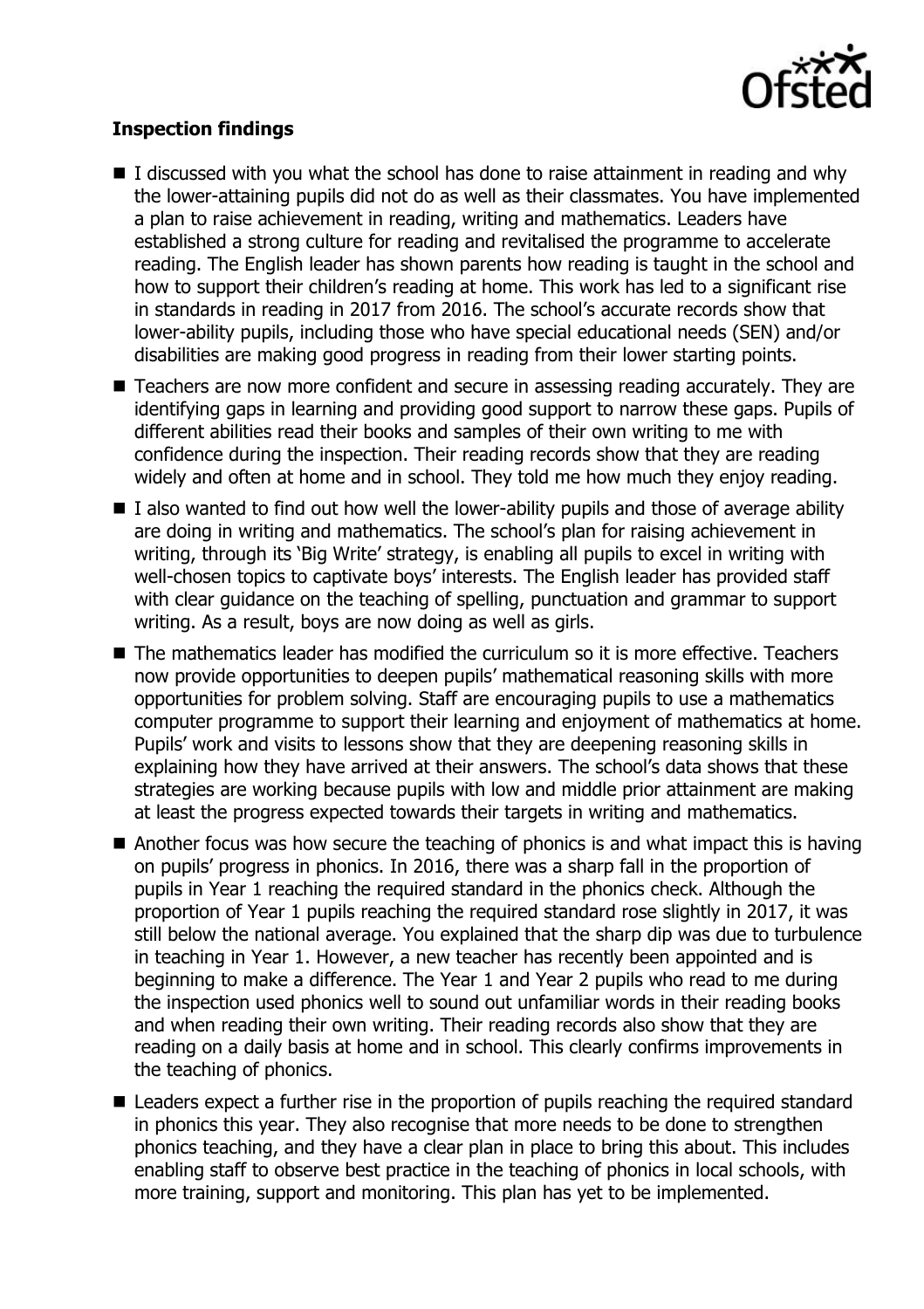

# **Inspection findings**

- $\blacksquare$  I discussed with you what the school has done to raise attainment in reading and why the lower-attaining pupils did not do as well as their classmates. You have implemented a plan to raise achievement in reading, writing and mathematics. Leaders have established a strong culture for reading and revitalised the programme to accelerate reading. The English leader has shown parents how reading is taught in the school and how to support their children's reading at home. This work has led to a significant rise in standards in reading in 2017 from 2016. The school's accurate records show that lower-ability pupils, including those who have special educational needs (SEN) and/or disabilities are making good progress in reading from their lower starting points.
- Teachers are now more confident and secure in assessing reading accurately. They are identifying gaps in learning and providing good support to narrow these gaps. Pupils of different abilities read their books and samples of their own writing to me with confidence during the inspection. Their reading records show that they are reading widely and often at home and in school. They told me how much they enjoy reading.
- $\blacksquare$  I also wanted to find out how well the lower-ability pupils and those of average ability are doing in writing and mathematics. The school's plan for raising achievement in writing, through its 'Big Write' strategy, is enabling all pupils to excel in writing with well-chosen topics to captivate boys' interests. The English leader has provided staff with clear guidance on the teaching of spelling, punctuation and grammar to support writing. As a result, boys are now doing as well as girls.
- The mathematics leader has modified the curriculum so it is more effective. Teachers now provide opportunities to deepen pupils' mathematical reasoning skills with more opportunities for problem solving. Staff are encouraging pupils to use a mathematics computer programme to support their learning and enjoyment of mathematics at home. Pupils' work and visits to lessons show that they are deepening reasoning skills in explaining how they have arrived at their answers. The school's data shows that these strategies are working because pupils with low and middle prior attainment are making at least the progress expected towards their targets in writing and mathematics.
- Another focus was how secure the teaching of phonics is and what impact this is having on pupils' progress in phonics. In 2016, there was a sharp fall in the proportion of pupils in Year 1 reaching the required standard in the phonics check. Although the proportion of Year 1 pupils reaching the required standard rose slightly in 2017, it was still below the national average. You explained that the sharp dip was due to turbulence in teaching in Year 1. However, a new teacher has recently been appointed and is beginning to make a difference. The Year 1 and Year 2 pupils who read to me during the inspection used phonics well to sound out unfamiliar words in their reading books and when reading their own writing. Their reading records also show that they are reading on a daily basis at home and in school. This clearly confirms improvements in the teaching of phonics.
- Leaders expect a further rise in the proportion of pupils reaching the required standard in phonics this year. They also recognise that more needs to be done to strengthen phonics teaching, and they have a clear plan in place to bring this about. This includes enabling staff to observe best practice in the teaching of phonics in local schools, with more training, support and monitoring. This plan has yet to be implemented.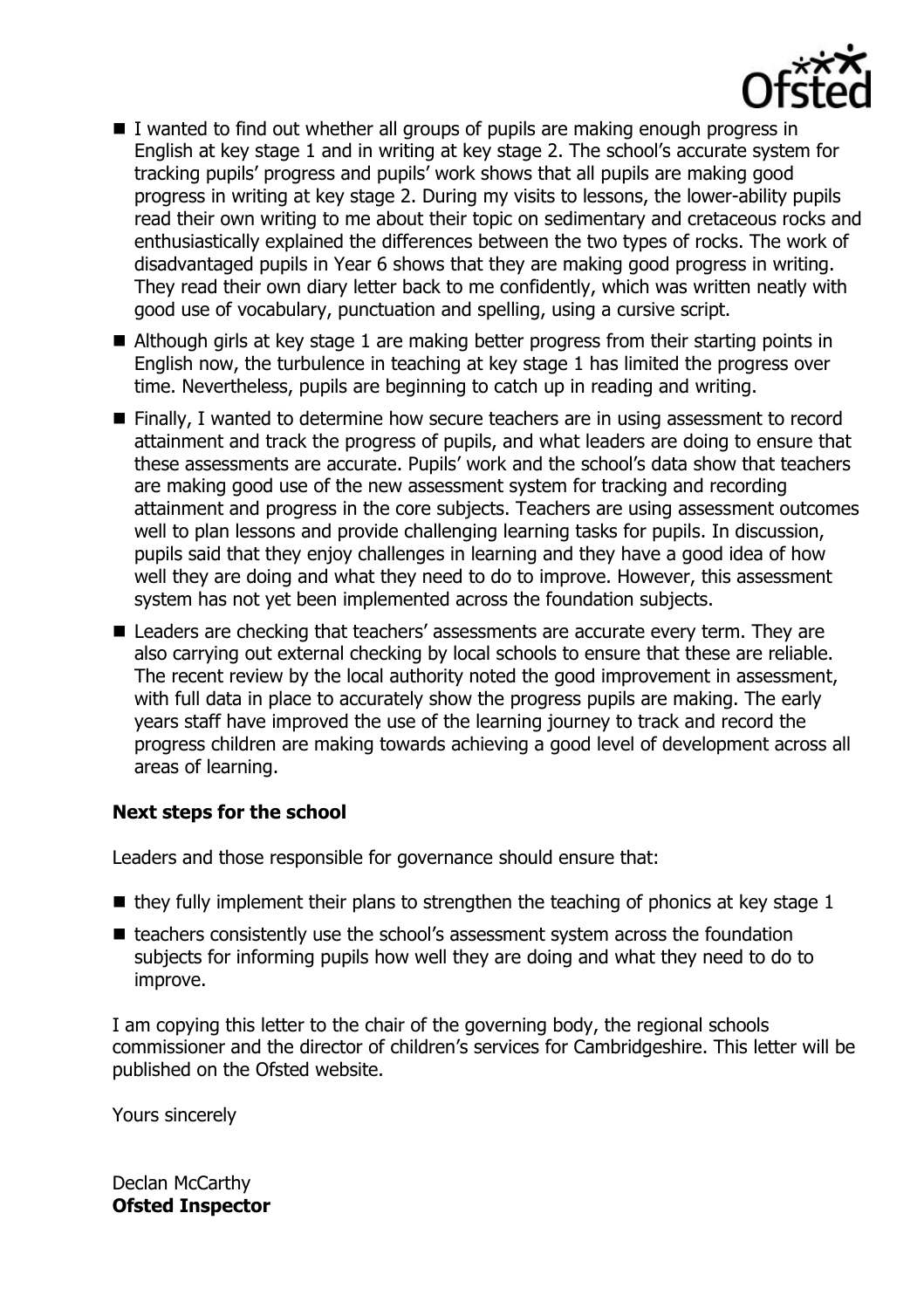

- $\blacksquare$  I wanted to find out whether all groups of pupils are making enough progress in English at key stage 1 and in writing at key stage 2. The school's accurate system for tracking pupils' progress and pupils' work shows that all pupils are making good progress in writing at key stage 2. During my visits to lessons, the lower-ability pupils read their own writing to me about their topic on sedimentary and cretaceous rocks and enthusiastically explained the differences between the two types of rocks. The work of disadvantaged pupils in Year 6 shows that they are making good progress in writing. They read their own diary letter back to me confidently, which was written neatly with good use of vocabulary, punctuation and spelling, using a cursive script.
- Although girls at key stage 1 are making better progress from their starting points in English now, the turbulence in teaching at key stage 1 has limited the progress over time. Nevertheless, pupils are beginning to catch up in reading and writing.
- **Finally, I wanted to determine how secure teachers are in using assessment to record** attainment and track the progress of pupils, and what leaders are doing to ensure that these assessments are accurate. Pupils' work and the school's data show that teachers are making good use of the new assessment system for tracking and recording attainment and progress in the core subjects. Teachers are using assessment outcomes well to plan lessons and provide challenging learning tasks for pupils. In discussion, pupils said that they enjoy challenges in learning and they have a good idea of how well they are doing and what they need to do to improve. However, this assessment system has not yet been implemented across the foundation subjects.
- Leaders are checking that teachers' assessments are accurate every term. They are also carrying out external checking by local schools to ensure that these are reliable. The recent review by the local authority noted the good improvement in assessment, with full data in place to accurately show the progress pupils are making. The early years staff have improved the use of the learning journey to track and record the progress children are making towards achieving a good level of development across all areas of learning.

## **Next steps for the school**

Leaders and those responsible for governance should ensure that:

- $\blacksquare$  they fully implement their plans to strengthen the teaching of phonics at key stage 1
- teachers consistently use the school's assessment system across the foundation subjects for informing pupils how well they are doing and what they need to do to improve.

I am copying this letter to the chair of the governing body, the regional schools commissioner and the director of children's services for Cambridgeshire. This letter will be published on the Ofsted website.

Yours sincerely

Declan McCarthy **Ofsted Inspector**